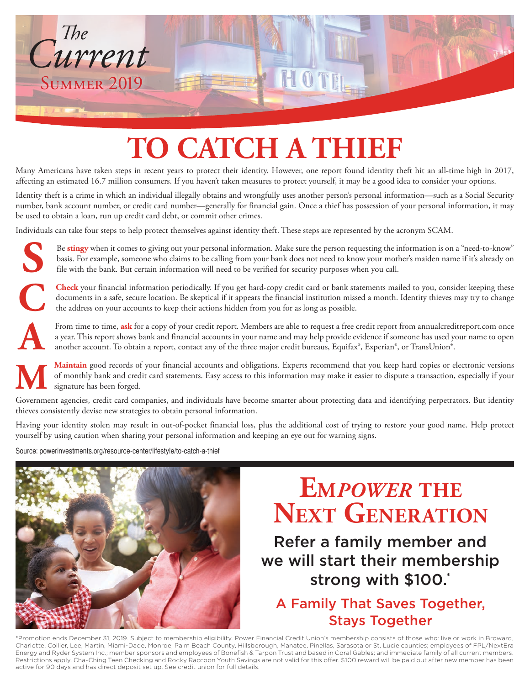

# **TO CATCH A THIEF**

Many Americans have taken steps in recent years to protect their identity. However, one report found identity theft hit an all-time high in 2017, affecting an estimated 16.7 million consumers. If you haven't taken measures to protect yourself, it may be a good idea to consider your options.

Identity theft is a crime in which an individual illegally obtains and wrongfully uses another person's personal information—such as a Social Security number, bank account number, or credit card number—generally for financial gain. Once a thief has possession of your personal information, it may be used to obtain a loan, run up credit card debt, or commit other crimes.

Individuals can take four steps to help protect themselves against identity theft. These steps are represented by the acronym SCAM.

**S** Be **stingy** when it comes to giving out your personal information. Make sure the person requesting the information is on a "need-to-know" basis. For example, someone who claims to be calling from your bank does not need to know your mother's maiden name if it's already on file with the bank. But certain information will need to be verified for security purposes when you call.

**Check** your financial information periodically. If you get hard-copy credit card or bank statements mailed to you, consider keeping these documents in a safe, secure location. Be skeptical if it appears the financial inst documents in a safe, secure location. Be skeptical if it appears the financial institution missed a month. Identity thieves may try to change the address on your accounts to keep their actions hidden from you for as long as possible.

**A** From time to time, **ask** for a copy of your credit report. Members are able to request a free credit report from annualcreditreport.com once a year. This report shows bank and financial accounts in your name and may help provide evidence if someone has used your name to open another account. To obtain a report, contact any of the three major credit bureaus, Equifax®, Experian®, or TransUnion®.

Maintain good records of your financial accounts and obligations. Experts recommend that you keep hard copies or electronic versions of monthly bank and credit card statements. Easy access to this information may make it e **Maintain** good records of your financial accounts and obligations. Experts recommend that you keep hard copies or electronic versions of monthly bank and credit card statements. Easy access to this information may make it easier to dispute a transaction, especially if your signature has been forged.

thieves consistently devise new strategies to obtain personal information.

Having your identity stolen may result in out-of-pocket financial loss, plus the additional cost of trying to restore your good name. Help protect yourself by using caution when sharing your personal information and keeping an eye out for warning signs.

Source: powerinvestments.org/resource-center/lifestyle/to-catch-a-thief



## **Em***power* **the NEXT GENERATION**

Refer a family member and we will start their membership strong with \$100.\*

#### A Family That Saves Together, Stays Together

\*Promotion ends December 31, 2019. Subject to membership eligibility. Power Financial Credit Union's membership consists of those who: live or work in Broward, Charlotte, Collier, Lee, Martin, Miami-Dade, Monroe, Palm Beach County, Hillsborough, Manatee, Pinellas, Sarasota or St. Lucie counties; employees of FPL/NextEra Energy and Ryder System Inc.; member sponsors and employees of Bonefish & Tarpon Trust and based in Coral Gables; and immediate family of all current members. Restrictions apply. Cha-Ching Teen Checking and Rocky Raccoon Youth Savings are not valid for this offer. \$100 reward will be paid out after new member has been active for 90 days and has direct deposit set up. See credit union for full details.